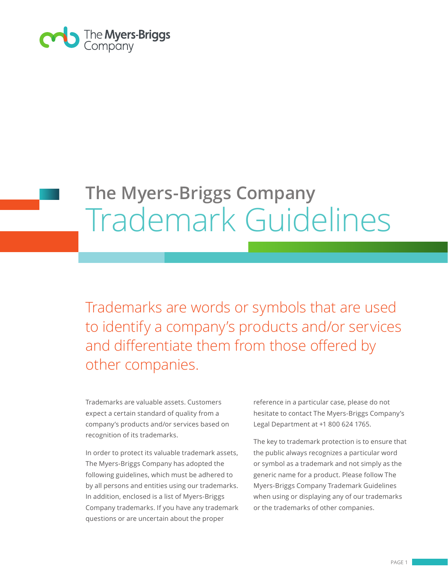

# **The Myers-Briggs Company**  Trademark Guidelines

Trademarks are words or symbols that are used to identify a company's products and/or services and differentiate them from those offered by other companies.

Trademarks are valuable assets. Customers expect a certain standard of quality from a company's products and/or services based on recognition of its trademarks.

In order to protect its valuable trademark assets, The Myers-Briggs Company has adopted the following guidelines, which must be adhered to by all persons and entities using our trademarks. In addition, enclosed is a list of Myers-Briggs Company trademarks. If you have any trademark questions or are uncertain about the proper

reference in a particular case, please do not hesitate to contact The Myers-Briggs Company's Legal Department at +1 800 624 1765.

The key to trademark protection is to ensure that the public always recognizes a particular word or symbol as a trademark and not simply as the generic name for a product. Please follow The Myers-Briggs Company Trademark Guidelines when using or displaying any of our trademarks or the trademarks of other companies.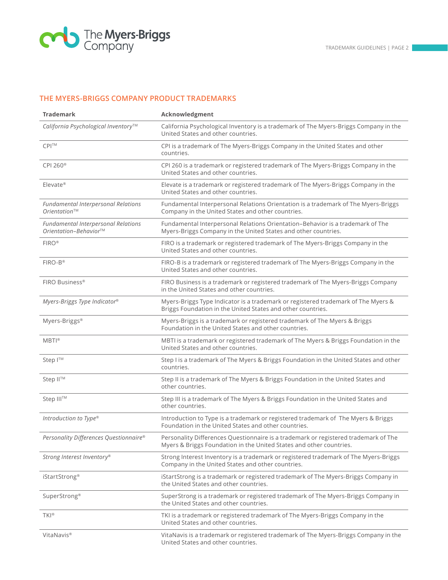

# **THE MYERS-BRIGGS COMPANY PRODUCT TRADEMARKS**

| <b>Trademark</b>                                             | Acknowledgment                                                                                                                                             |
|--------------------------------------------------------------|------------------------------------------------------------------------------------------------------------------------------------------------------------|
| California Psychological Inventory™                          | California Psychological Inventory is a trademark of The Myers-Briggs Company in the<br>United States and other countries.                                 |
| CPI <sup>™</sup>                                             | CPI is a trademark of The Myers-Briggs Company in the United States and other<br>countries.                                                                |
| CPI 260 <sup>®</sup>                                         | CPI 260 is a trademark or registered trademark of The Myers-Briggs Company in the<br>United States and other countries.                                    |
| $E$ levate®                                                  | Elevate is a trademark or registered trademark of The Myers-Briggs Company in the<br>United States and other countries.                                    |
| <b>Fundamental Interpersonal Relations</b><br>Orientation™   | Fundamental Interpersonal Relations Orientation is a trademark of The Myers-Briggs<br>Company in the United States and other countries.                    |
| Fundamental Interpersonal Relations<br>Orientation-Behavior™ | Fundamental Interpersonal Relations Orientation-Behavior is a trademark of The<br>Myers-Briggs Company in the United States and other countries.           |
| <b>FIRO®</b>                                                 | FIRO is a trademark or registered trademark of The Myers-Briggs Company in the<br>United States and other countries.                                       |
| $FIRO-B^{\circledR}$                                         | FIRO-B is a trademark or registered trademark of The Myers-Briggs Company in the<br>United States and other countries.                                     |
| FIRO Business®                                               | FIRO Business is a trademark or registered trademark of The Myers-Briggs Company<br>in the United States and other countries.                              |
| Myers-Briggs Type Indicator®                                 | Myers-Briggs Type Indicator is a trademark or registered trademark of The Myers &<br>Briggs Foundation in the United States and other countries.           |
| Myers-Briggs®                                                | Myers-Briggs is a trademark or registered trademark of The Myers & Briggs<br>Foundation in the United States and other countries.                          |
| $MBTI^{\circ}$                                               | MBTI is a trademark or registered trademark of The Myers & Briggs Foundation in the<br>United States and other countries.                                  |
| Step I™                                                      | Step I is a trademark of The Myers & Briggs Foundation in the United States and other<br>countries.                                                        |
| Step II™                                                     | Step II is a trademark of The Myers & Briggs Foundation in the United States and<br>other countries.                                                       |
| Step III™                                                    | Step III is a trademark of The Myers & Briggs Foundation in the United States and<br>other countries.                                                      |
| Introduction to Type®                                        | Introduction to Type is a trademark or registered trademark of The Myers & Briggs<br>Foundation in the United States and other countries.                  |
| Personality Differences Questionnaire®                       | Personality Differences Questionnaire is a trademark or registered trademark of The<br>Myers & Briggs Foundation in the United States and other countries. |
| Strong Interest Inventory®                                   | Strong Interest Inventory is a trademark or registered trademark of The Myers-Briggs<br>Company in the United States and other countries.                  |
| iStartStrong <sup>®</sup>                                    | iStartStrong is a trademark or registered trademark of The Myers-Briggs Company in<br>the United States and other countries.                               |
| SuperStrong®                                                 | SuperStrong is a trademark or registered trademark of The Myers-Briggs Company in<br>the United States and other countries.                                |
| TKI®                                                         | TKI is a trademark or registered trademark of The Myers-Briggs Company in the<br>United States and other countries.                                        |
| VitaNavis <sup>®</sup>                                       | VitaNavis is a trademark or registered trademark of The Myers-Briggs Company in the<br>United States and other countries.                                  |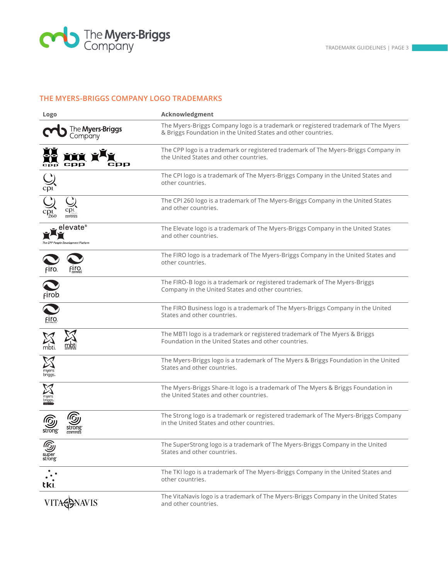

# **THE MYERS-BRIGGS COMPANY LOGO TRADEMARKS**

| Logo                                            | Acknowledgment                                                                                                                                     |
|-------------------------------------------------|----------------------------------------------------------------------------------------------------------------------------------------------------|
| The <b>Myers-Briggs</b><br>Company              | The Myers-Briggs Company logo is a trademark or registered trademark of The Myers<br>& Briggs Foundation in the United States and other countries. |
| срр                                             | The CPP logo is a trademark or registered trademark of The Myers-Briggs Company in<br>the United States and other countries.                       |
| $\sum_{\text{cpl}}$                             | The CPI logo is a trademark of The Myers-Briggs Company in the United States and<br>other countries.                                               |
|                                                 | The CPI 260 logo is a trademark of The Myers-Briggs Company in the United States<br>and other countries.                                           |
| elevate®<br>The CPP People Development Platform | The Elevate logo is a trademark of The Myers-Briggs Company in the United States<br>and other countries.                                           |
| firo.<br>FIro.                                  | The FIRO logo is a trademark of The Myers-Briggs Company in the United States and<br>other countries.                                              |
| firob.                                          | The FIRO-B logo is a trademark or registered trademark of The Myers-Briggs<br>Company in the United States and other countries.                    |
| firo-                                           | The FIRO Business logo is a trademark of The Myers-Briggs Company in the United<br>States and other countries.                                     |
| <u>mbt</u><br>mbti                              | The MBTI logo is a trademark or registered trademark of The Myers & Briggs<br>Foundation in the United States and other countries.                 |
| myers<br>briggs                                 | The Myers-Briggs logo is a trademark of The Myers & Briggs Foundation in the United<br>States and other countries.                                 |
| myers<br>br <b>í</b> ggs.                       | The Myers-Briggs Share-It logo is a trademark of The Myers & Briggs Foundation in<br>the United States and other countries.                        |
| strong                                          | The Strong logo is a trademark or registered trademark of The Myers-Briggs Company<br>in the United States and other countries.                    |
| ഭു<br>super<br>strong                           | The SuperStrong logo is a trademark of The Myers-Briggs Company in the United<br>States and other countries.                                       |
| tkı                                             | The TKI logo is a trademark of The Myers-Briggs Company in the United States and<br>other countries.                                               |
| <b>IAVIS</b>                                    | The VitaNavis logo is a trademark of The Myers-Briggs Company in the United States<br>and other countries.                                         |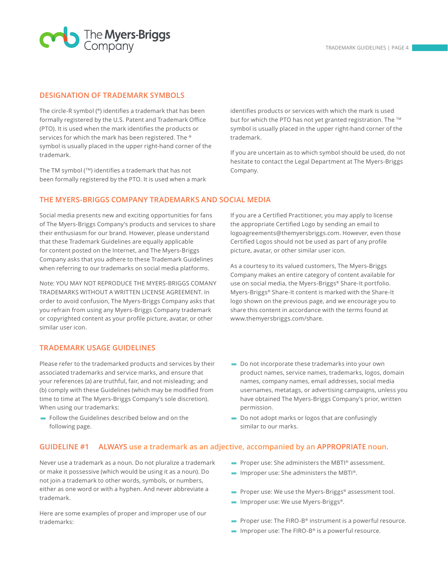

#### **DESIGNATION OF TRADEMARK SYMBOLS**

The circle-R symbol (®) identifies a trademark that has been formally registered by the U.S. Patent and Trademark Office (PTO). It is used when the mark identifies the products or services for which the mark has been registered. The ® symbol is usually placed in the upper right-hand corner of the trademark.

The TM symbol (TM) identifies a trademark that has not been formally registered by the PTO. It is used when a mark identifies products or services with which the mark is used but for which the PTO has not yet granted registration. The ™ symbol is usually placed in the upper right-hand corner of the trademark.

If you are uncertain as to which symbol should be used, do not hesitate to contact the Legal Department at The Myers-Briggs Company.

#### **THE MYERS-BRIGGS COMPANY TRADEMARKS AND SOCIAL MEDIA**

Social media presents new and exciting opportunities for fans of The Myers-Briggs Company's products and services to share their enthusiasm for our brand. However, please understand that these Trademark Guidelines are equally applicable for content posted on the Internet, and The Myers-Briggs Company asks that you adhere to these Trademark Guidelines when referring to our trademarks on social media platforms.

Note: YOU MAY NOT REPRODUCE THE MYERS-BRIGGS COMANY TRADEMARKS WITHOUT A WRITTEN LICENSE AGREEMENT. In order to avoid confusion, The Myers-Briggs Company asks that you refrain from using any Myers-Briggs Company trademark or copyrighted content as your profile picture, avatar, or other similar user icon.

## **TRADEMARK USAGE GUIDELINES**

Please refer to the trademarked products and services by their associated trademarks and service marks, and ensure that your references (a) are truthful, fair, and not misleading; and (b) comply with these Guidelines (which may be modified from time to time at The Myers-Briggs Company's sole discretion). When using our trademarks:

ι Follow the Guidelines described below and on the following page.

If you are a Certified Practitioner, you may apply to license the appropriate Certified Logo by sending an email to logoagreements@themyersbriggs.com. However, even those Certified Logos should not be used as part of any profile picture, avatar, or other similar user icon.

As a courtesy to its valued customers, The Myers-Briggs Company makes an entire category of content available for use on social media, the Myers-Briggs® Share-It portfolio. Myers-Briggs® Share-It content is marked with the Share-It logo shown on the previous page, and we encourage you to share this content in accordance with the terms found at www.themyersbriggs.com/share.

- ι Do not incorporate these trademarks into your own product names, service names, trademarks, logos, domain names, company names, email addresses, social media usernames, metatags, or advertising campaigns, unless you have obtained The Myers-Briggs Company's prior, written permission.
- **-** Do not adopt marks or logos that are confusingly similar to our marks.

## **GUIDELINE #1 ALWAYS use a trademark as an adjective, accompanied by an APPROPRIATE noun.**

Never use a trademark as a noun. Do not pluralize a trademark or make it possessive (which would be using it as a noun). Do not join a trademark to other words, symbols, or numbers, either as one word or with a hyphen. And never abbreviate a trademark.

Here are some examples of proper and improper use of our trademarks:

- **-** Proper use: She administers the MBTI® assessment.
- Improper use: She administers the MBTI®.
- **Proper use: We use the Myers-Briggs® assessment tool.**
- Improper use: We use Myers-Briggs®.
- **Proper use:** The FIRO-B<sup>®</sup> instrument is a powerful resource.
- **IMPROPER USE:** The FIRO-B<sup>®</sup> is a powerful resource.